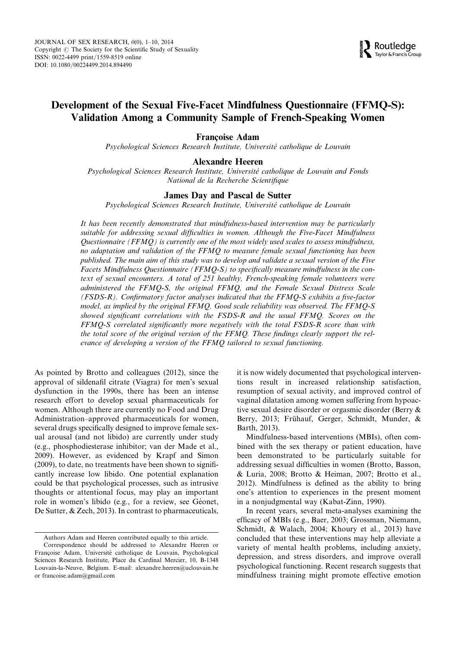

# Development of the Sexual Five-Facet Mindfulness Questionnaire (FFMQ-S): Validation Among a Community Sample of French-Speaking Women

Françoise Adam

Psychological Sciences Research Institute, Université catholique de Louvain

## Alexandre Heeren

Psychological Sciences Research Institute, Université catholique de Louvain and Fonds National de la Recherche Scientifique

## James Day and Pascal de Sutter

Psychological Sciences Research Institute, Université catholique de Louvain

It has been recently demonstrated that mindfulness-based intervention may be particularly suitable for addressing sexual difficulties in women. Although the Five-Facet Mindfulness Questionnaire ( $FFMO$ ) is currently one of the most widely used scales to assess mindfulness. no adaptation and validation of the FFMQ to measure female sexual functioning has been published. The main aim of this study was to develop and validate a sexual version of the Five Facets Mindfulness Questionnaire (FFMQ-S) to specifically measure mindfulness in the context of sexual encounters. A total of 251 healthy, French-speaking female volunteers were administered the FFMQ-S, the original FFMQ, and the Female Sexual Distress Scale (FSDS-R). Confirmatory factor analyses indicated that the FFMQ-S exhibits a five-factor model, as implied by the original FFMQ. Good scale reliability was observed. The FFMQ-S showed significant correlations with the FSDS-R and the usual FFMQ. Scores on the FFMQ-S correlated significantly more negatively with the total FSDS-R score than with the total score of the original version of the FFMQ. These findings clearly support the relevance of developing a version of the FFMQ tailored to sexual functioning.

As pointed by Brotto and colleagues (2012), since the approval of sildenafil citrate (Viagra) for men's sexual dysfunction in the 1990s, there has been an intense research effort to develop sexual pharmaceuticals for women. Although there are currently no Food and Drug Administration–approved pharmaceuticals for women, several drugs specifically designed to improve female sexual arousal (and not libido) are currently under study (e.g., phosphodiesterase inhibitor; van der Made et al., 2009). However, as evidenced by Krapf and Simon (2009), to date, no treatments have been shown to significantly increase low libido. One potential explanation could be that psychological processes, such as intrusive thoughts or attentional focus, may play an important role in women's libido (e.g., for a review, see Géonet, De Sutter, & Zech, 2013). In contrast to pharmaceuticals,

it is now widely documented that psychological interventions result in increased relationship satisfaction, resumption of sexual activity, and improved control of vaginal dilatation among women suffering from hypoactive sexual desire disorder or orgasmic disorder (Berry & Berry, 2013; Frühauf, Gerger, Schmidt, Munder, & Barth, 2013).

Mindfulness-based interventions (MBIs), often combined with the sex therapy or patient education, have been demonstrated to be particularly suitable for addressing sexual difficulties in women (Brotto, Basson, & Luria, 2008; Brotto & Heiman, 2007; Brotto et al., 2012). Mindfulness is defined as the ability to bring one's attention to experiences in the present moment in a nonjudgmental way (Kabat-Zinn, 1990).

In recent years, several meta-analyses examining the efficacy of MBIs (e.g., Baer, 2003; Grossman, Niemann, Schmidt, & Walach, 2004; Khoury et al., 2013) have concluded that these interventions may help alleviate a variety of mental health problems, including anxiety, depression, and stress disorders, and improve overall psychological functioning. Recent research suggests that mindfulness training might promote effective emotion

Authors Adam and Heeren contributed equally to this article.

Correspondence should be addressed to Alexandre Heeren or Françoise Adam, Université catholique de Louvain, Psychological Sciences Research Institute, Place du Cardinal Mercier, 10, B-1348 Louvain-la-Neuve, Belgium. E-mail: alexandre.heeren@uclouvain.be or francoise.adam@gmail.com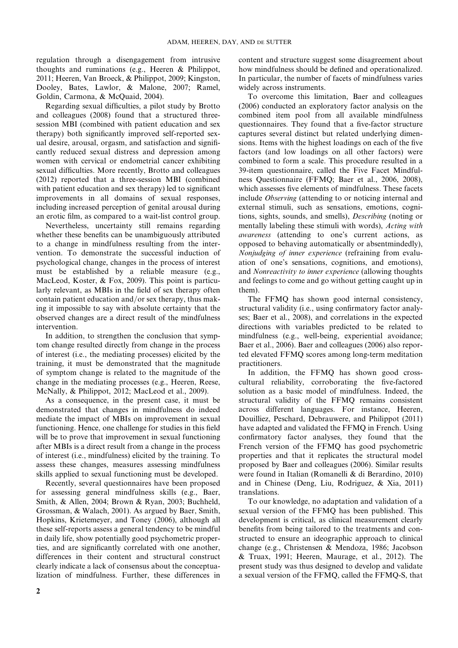regulation through a disengagement from intrusive thoughts and ruminations (e.g., Heeren & Philippot, 2011; Heeren, Van Broeck, & Philippot, 2009; Kingston, Dooley, Bates, Lawlor, & Malone, 2007; Ramel, Goldin, Carmona, & McQuaid, 2004).

Regarding sexual difficulties, a pilot study by Brotto and colleagues (2008) found that a structured threesession MBI (combined with patient education and sex therapy) both significantly improved self-reported sexual desire, arousal, orgasm, and satisfaction and significantly reduced sexual distress and depression among women with cervical or endometrial cancer exhibiting sexual difficulties. More recently, Brotto and colleagues (2012) reported that a three-session MBI (combined with patient education and sex therapy) led to significant improvements in all domains of sexual responses, including increased perception of genital arousal during an erotic film, as compared to a wait-list control group.

Nevertheless, uncertainty still remains regarding whether these benefits can be unambiguously attributed to a change in mindfulness resulting from the intervention. To demonstrate the successful induction of psychological change, changes in the process of interest must be established by a reliable measure (e.g., MacLeod, Koster, & Fox, 2009). This point is particularly relevant, as MBIs in the field of sex therapy often contain patient education and/or sex therapy, thus making it impossible to say with absolute certainty that the observed changes are a direct result of the mindfulness intervention.

In addition, to strengthen the conclusion that symptom change resulted directly from change in the process of interest (i.e., the mediating processes) elicited by the training, it must be demonstrated that the magnitude of symptom change is related to the magnitude of the change in the mediating processes (e.g., Heeren, Reese, McNally, & Philippot, 2012; MacLeod et al., 2009).

As a consequence, in the present case, it must be demonstrated that changes in mindfulness do indeed mediate the impact of MBIs on improvement in sexual functioning. Hence, one challenge for studies in this field will be to prove that improvement in sexual functioning after MBIs is a direct result from a change in the process of interest (i.e., mindfulness) elicited by the training. To assess these changes, measures assessing mindfulness skills applied to sexual functioning must be developed.

Recently, several questionnaires have been proposed for assessing general mindfulness skills (e.g., Baer, Smith, & Allen, 2004; Brown & Ryan, 2003; Buchheld, Grossman, & Walach, 2001). As argued by Baer, Smith, Hopkins, Krietemeyer, and Toney (2006), although all these self-reports assess a general tendency to be mindful in daily life, show potentially good psychometric properties, and are significantly correlated with one another, differences in their content and structural construct clearly indicate a lack of consensus about the conceptualization of mindfulness. Further, these differences in content and structure suggest some disagreement about how mindfulness should be defined and operationalized. In particular, the number of facets of mindfulness varies widely across instruments.

To overcome this limitation, Baer and colleagues (2006) conducted an exploratory factor analysis on the combined item pool from all available mindfulness questionnaires. They found that a five-factor structure captures several distinct but related underlying dimensions. Items with the highest loadings on each of the five factors (and low loadings on all other factors) were combined to form a scale. This procedure resulted in a 39-item questionnaire, called the Five Facet Mindfulness Questionnaire (FFMQ; Baer et al., 2006, 2008), which assesses five elements of mindfulness. These facets include Observing (attending to or noticing internal and external stimuli, such as sensations, emotions, cognitions, sights, sounds, and smells), Describing (noting or mentally labeling these stimuli with words), Acting with awareness (attending to one's current actions, as opposed to behaving automatically or absentmindedly), Nonjudging of inner experience (refraining from evaluation of one's sensations, cognitions, and emotions), and Nonreactivity to inner experience (allowing thoughts and feelings to come and go without getting caught up in them).

The FFMQ has shown good internal consistency, structural validity (i.e., using confirmatory factor analyses; Baer et al., 2008), and correlations in the expected directions with variables predicted to be related to mindfulness (e.g., well-being, experiential avoidance; Baer et al., 2006). Baer and colleagues (2006) also reported elevated FFMQ scores among long-term meditation practitioners.

In addition, the FFMQ has shown good crosscultural reliability, corroborating the five-factored solution as a basic model of mindfulness. Indeed, the structural validity of the FFMQ remains consistent across different languages. For instance, Heeren, Douilliez, Peschard, Debrauwere, and Philippot (2011) have adapted and validated the FFMQ in French. Using confirmatory factor analyses, they found that the French version of the FFMQ has good psychometric properties and that it replicates the structural model proposed by Baer and colleagues (2006). Similar results were found in Italian (Romanelli & di Berardino, 2010) and in Chinese (Deng, Liu, Rodriguez, & Xia, 2011) translations.

To our knowledge, no adaptation and validation of a sexual version of the FFMQ has been published. This development is critical, as clinical measurement clearly benefits from being tailored to the treatments and constructed to ensure an ideographic approach to clinical change (e.g., Christensen & Mendoza, 1986; Jacobson & Truax, 1991; Heeren, Maurage, et al., 2012). The present study was thus designed to develop and validate a sexual version of the FFMQ, called the FFMQ-S, that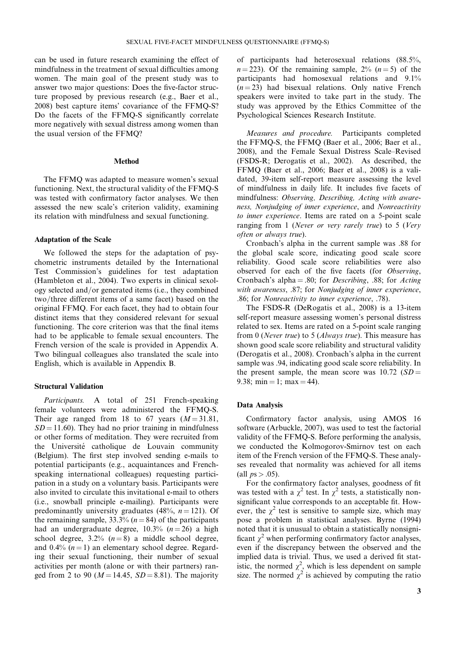can be used in future research examining the effect of mindfulness in the treatment of sexual difficulties among women. The main goal of the present study was to answer two major questions: Does the five-factor structure proposed by previous research (e.g., Baer et al., 2008) best capture items' covariance of the FFMQ-S? Do the facets of the FFMQ-S significantly correlate more negatively with sexual distress among women than the usual version of the FFMQ?

#### Method

The FFMQ was adapted to measure women's sexual functioning. Next, the structural validity of the FFMQ-S was tested with confirmatory factor analyses. We then assessed the new scale's criterion validity, examining its relation with mindfulness and sexual functioning.

### Adaptation of the Scale

We followed the steps for the adaptation of psychometric instruments detailed by the International Test Commission's guidelines for test adaptation (Hambleton et al., 2004). Two experts in clinical sexology selected and/or generated items (i.e., they combined two/three different items of a same facet) based on the original FFMQ. For each facet, they had to obtain four distinct items that they considered relevant for sexual functioning. The core criterion was that the final items had to be applicable to female sexual encounters. The French version of the scale is provided in Appendix A. Two bilingual colleagues also translated the scale into English, which is available in Appendix B.

#### Structural Validation

Participants. A total of 251 French-speaking female volunteers were administered the FFMQ-S. Their age ranged from 18 to 67 years  $(M = 31.81$ ,  $SD = 11.60$ . They had no prior training in mindfulness or other forms of meditation. They were recruited from the Université catholique de Louvain community (Belgium). The first step involved sending e-mails to potential participants (e.g., acquaintances and Frenchspeaking international colleagues) requesting participation in a study on a voluntary basis. Participants were also invited to circulate this invitational e-mail to others (i.e., snowball principle e-mailing). Participants were predominantly university graduates (48%,  $n = 121$ ). Of the remaining sample, 33.3%  $(n = 84)$  of the participants had an undergraduate degree,  $10.3\%$  ( $n = 26$ ) a high school degree,  $3.2\%$   $(n=8)$  a middle school degree, and 0.4%  $(n = 1)$  an elementary school degree. Regarding their sexual functioning, their number of sexual activities per month (alone or with their partners) ranged from 2 to 90 ( $M = 14.45$ ,  $SD = 8.81$ ). The majority

of participants had heterosexual relations (88.5%,  $n = 223$ ). Of the remaining sample,  $2\%$   $(n = 5)$  of the participants had homosexual relations and 9.1%  $(n = 23)$  had bisexual relations. Only native French speakers were invited to take part in the study. The study was approved by the Ethics Committee of the Psychological Sciences Research Institute.

Measures and procedure. Participants completed the FFMQ-S, the FFMQ (Baer et al., 2006; Baer et al., 2008), and the Female Sexual Distress Scale–Revised (FSDS-R; Derogatis et al., 2002). As described, the FFMQ (Baer et al., 2006; Baer et al., 2008) is a validated, 39-item self-report measure assessing the level of mindfulness in daily life. It includes five facets of mindfulness: Observing, Describing, Acting with awareness, Nonjudging of inner experience, and Nonreactivity to inner experience. Items are rated on a 5-point scale ranging from 1 (Never or very rarely true) to 5 (Very often or always true).

Cronbach's alpha in the current sample was .88 for the global scale score, indicating good scale score reliability. Good scale score reliabilities were also observed for each of the five facets (for Observing, Cronbach's alpha  $= .80$ ; for *Describing*, .88; for *Acting* with awareness, .87; for *Nonjudging of inner experience*, .86; for Nonreactivity to inner experience, .78).

The FSDS-R (DeRogatis et al., 2008) is a 13-item self-report measure assessing women's personal distress related to sex. Items are rated on a 5-point scale ranging from 0 (Never true) to 5 (Always true). This measure has shown good scale score reliability and structural validity (Derogatis et al., 2008). Cronbach's alpha in the current sample was .94, indicating good scale score reliability. In the present sample, the mean score was  $10.72$  (SD = 9.38; min = 1; max = 44).

#### Data Analysis

Confirmatory factor analysis, using AMOS 16 software (Arbuckle, 2007), was used to test the factorial validity of the FFMQ-S. Before performing the analysis, we conducted the Kolmogorov-Smirnov test on each item of the French version of the FFMQ-S. These analyses revealed that normality was achieved for all items (all  $ps > .05$ ).

For the confirmatory factor analyses, goodness of fit was tested with a  $\chi^2$  test. In  $\chi^2$  tests, a statistically nonsignificant value corresponds to an acceptable fit. However, the  $\chi^2$  test is sensitive to sample size, which may pose a problem in statistical analyses. Byrne (1994) noted that it is unusual to obtain a statistically nonsignificant  $\chi^2$  when performing confirmatory factor analyses, even if the discrepancy between the observed and the implied data is trivial. Thus, we used a derived fit statistic, the normed  $\chi^2$ , which is less dependent on sample size. The normed  $\chi^2$  is achieved by computing the ratio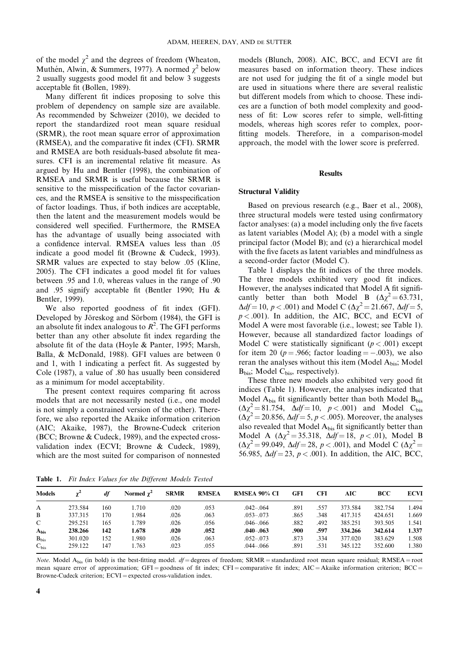of the model  $\chi^2$  and the degrees of freedom (Wheaton, Muthén, Alwin, & Summers, 1977). A normed  $\gamma^2$  below 2 usually suggests good model fit and below 3 suggests acceptable fit (Bollen, 1989).

Many different fit indices proposing to solve this problem of dependency on sample size are available. As recommended by Schweizer (2010), we decided to report the standardized root mean square residual (SRMR), the root mean square error of approximation (RMSEA), and the comparative fit index (CFI). SRMR and RMSEA are both residuals-based absolute fit measures. CFI is an incremental relative fit measure. As argued by Hu and Bentler (1998), the combination of RMSEA and SRMR is useful because the SRMR is sensitive to the misspecification of the factor covariances, and the RMSEA is sensitive to the misspecification of factor loadings. Thus, if both indices are acceptable, then the latent and the measurement models would be considered well specified. Furthermore, the RMSEA has the advantage of usually being associated with a confidence interval. RMSEA values less than .05 indicate a good model fit (Browne & Cudeck, 1993). SRMR values are expected to stay below .05 (Kline, 2005). The CFI indicates a good model fit for values between .95 and 1.0, whereas values in the range of .90 and .95 signify acceptable fit (Bentler 1990; Hu & Bentler, 1999).

We also reported goodness of fit index (GFI). Developed by Jöreskog and Sörbom (1984), the GFI is an absolute fit index analogous to  $R^2$ . The GFI performs better than any other absolute fit index regarding the absolute fit of the data (Hoyle & Panter, 1995; Marsh, Balla, & McDonald, 1988). GFI values are between 0 and 1, with 1 indicating a perfect fit. As suggested by Cole (1987), a value of .80 has usually been considered as a minimum for model acceptability.

The present context requires comparing fit across models that are not necessarily nested (i.e., one model is not simply a constrained version of the other). Therefore, we also reported the Akaike information criterion (AIC; Akaike, 1987), the Browne-Cudeck criterion (BCC; Browne & Cudeck, 1989), and the expected crossvalidation index (ECVI; Browne & Cudeck, 1989), which are the most suited for comparison of nonnested

models (Blunch, 2008). AIC, BCC, and ECVI are fit measures based on information theory. These indices are not used for judging the fit of a single model but are used in situations where there are several realistic but different models from which to choose. These indices are a function of both model complexity and goodness of fit: Low scores refer to simple, well-fitting models, whereas high scores refer to complex, poorfitting models. Therefore, in a comparison-model approach, the model with the lower score is preferred.

## **Results**

## Structural Validity

Based on previous research (e.g., Baer et al., 2008), three structural models were tested using confirmatory factor analyses: (a) a model including only the five facets as latent variables (Model A); (b) a model with a single principal factor (Model B); and (c) a hierarchical model with the five facets as latent variables and mindfulness as a second-order factor (Model C).

Table 1 displays the fit indices of the three models. The three models exhibited very good fit indices. However, the analyses indicated that Model A fit significantly better than both Model B  $(\Delta \chi^2 = 63.731,$  $\Delta df = 10, p < .001$ ) and Model C ( $\Delta \chi^2 = 21.667, \Delta df = 5$ ,  $p < .001$ ). In addition, the AIC, BCC, and ECVI of Model A were most favorable (i.e., lowest; see Table 1). However, because all standardized factor loadings of Model C were statistically significant ( $p < .001$ ) except for item 20 ( $p = .966$ ; factor loading  $= -.003$ ), we also reran the analyses without this item (Model  $A_{\text{bis}}$ ; Model  $B_{\text{bis}}$ ; Model  $C_{\text{bis}}$ , respectively).

These three new models also exhibited very good fit indices (Table 1). However, the analyses indicated that Model  $A_{bis}$  fit significantly better than both Model  $B_{bis}$  $(\Delta \chi^2 = 81.754, \ \Delta df = 10, \ p < .001)$  and Model C<sub>bis</sub>  $(\Delta \chi^2 = 20.856, \Delta df = 5, p < .005)$ . Moreover, the analyses also revealed that Model Abis fit significantly better than Model A  $(\Delta \gamma^2 = 35.318, \Delta df = 18, p < .01)$ , Model B  $(\Delta \chi^2 = 99.049, \Delta df = 28, p < .001)$ , and Model C  $(\Delta \chi^2 = 1)$ 56.985,  $\Delta df = 23$ ,  $p < .001$ ). In addition, the AIC, BCC,

Table 1. Fit Index Values for the Different Models Tested

| <b>Models</b> |         | df  | Normed $\gamma^2$ | <b>SRMR</b> | <b>RMSEA</b> | <b>RMSEA 90% CI</b> | GFI  | CFI  | AIC     | <b>BCC</b> | <b>ECVI</b> |
|---------------|---------|-----|-------------------|-------------|--------------|---------------------|------|------|---------|------------|-------------|
| A             | 273.584 | 160 | 1.710             | .020        | .053         | $.042 - .064$       | .891 | .557 | 373.584 | 382.754    | .494        |
| B             | 337.315 | 170 | .984              | .026        | .063         | $.053 - .073$       | .865 | .348 | 417.315 | 424.651    | 1.669       |
| $\mathsf{C}$  | 295.251 | 165 | 1.789             | .026        | .056         | $.046 - .066$       | .882 | .492 | 385.251 | 393.505    | 1.541       |
| $A_{bis}$     | 238.266 | 142 | 1.678             | .020        | .052         | $.040-.063$         | .900 | .597 | 334.266 | 342.614    | 1.337       |
| $B_{\rm bis}$ | 301.020 | 152 | 1.980             | .026        | .063         | $.052 - .073$       | .873 | .334 | 377.020 | 383.629    | .508        |
| $C_{\rm bis}$ | 259.122 | 147 | .763              | .023        | .055         | $.044 - .066$       | .891 | .531 | 345.122 | 352.600    | 1.380       |

*Note.* Model A<sub>bis</sub> (in bold) is the best-fitting model.  $df =$  degrees of freedom; SRMR = standardized root mean square residual; RMSEA = root mean square error of approximation; GFI = goodness of fit index; CFI = comparative fit index; AIC = Akaike information criterion; BCC = Browne-Cudeck criterion; ECVI = expected cross-validation index.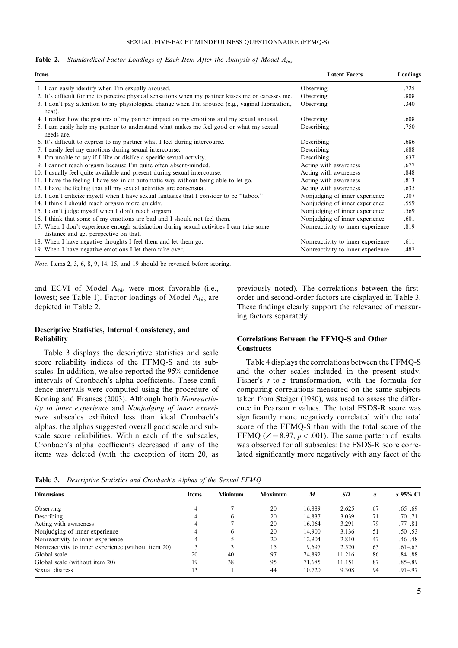**Table 2.** Standardized Factor Loadings of Each Item After the Analysis of Model  $A_{bis}$ 

| <b>Items</b>                                                                                                                      | <b>Latent Facets</b>              | Loadings |
|-----------------------------------------------------------------------------------------------------------------------------------|-----------------------------------|----------|
| 1. I can easily identify when I'm sexually aroused.                                                                               | Observing                         | .725     |
| 2. It's difficult for me to perceive physical sensations when my partner kisses me or caresses me.                                | Observing                         | .808     |
| 3. I don't pay attention to my physiological change when I'm aroused (e.g., vaginal lubrication,<br>heat).                        | Observing                         | .340     |
| 4. I realize how the gestures of my partner impact on my emotions and my sexual arousal.                                          | Observing                         | .608     |
| 5. I can easily help my partner to understand what makes me feel good or what my sexual<br>needs are.                             | Describing                        | .750     |
| 6. It's difficult to express to my partner what I feel during intercourse.                                                        | Describing                        | .686     |
| 7. I easily feel my emotions during sexual intercourse.                                                                           | Describing                        | .688     |
| 8. I'm unable to say if I like or dislike a specific sexual activity.                                                             | Describing                        | .637     |
| 9. I cannot reach orgasm because I'm quite often absent-minded.                                                                   | Acting with awareness             | .677     |
| 10. I usually feel quite available and present during sexual intercourse.                                                         | Acting with awareness             | .848     |
| 11. I have the feeling I have sex in an automatic way without being able to let go.                                               | Acting with awareness             | .813     |
| 12. I have the feeling that all my sexual activities are consensual.                                                              | Acting with awareness             | .635     |
| 13. I don't criticize myself when I have sexual fantasies that I consider to be "taboo."                                          | Nonjudging of inner experience    | .307     |
| 14. I think I should reach orgasm more quickly.                                                                                   | Nonjudging of inner experience    | .559     |
| 15. I don't judge myself when I don't reach orgasm.                                                                               | Nonjudging of inner experience    | .569     |
| 16. I think that some of my emotions are bad and I should not feel them.                                                          | Nonjudging of inner experience    | .601     |
| 17. When I don't experience enough satisfaction during sexual activities I can take some<br>distance and get perspective on that. | Nonreactivity to inner experience | .819     |
| 18. When I have negative thoughts I feel them and let them go.                                                                    | Nonreactivity to inner experience | .611     |
| 19. When I have negative emotions I let them take over.                                                                           | Nonreactivity to inner experience | .482     |

Note. Items 2, 3, 6, 8, 9, 14, 15, and 19 should be reversed before scoring.

and ECVI of Model Abis were most favorable (i.e., lowest; see Table 1). Factor loadings of Model  $A_{\text{bis}}$  are depicted in Table 2.

# Descriptive Statistics, Internal Consistency, and Reliability

Table 3 displays the descriptive statistics and scale score reliability indices of the FFMQ-S and its subscales. In addition, we also reported the 95% confidence intervals of Cronbach's alpha coefficients. These confidence intervals were computed using the procedure of Koning and Franses (2003). Although both Nonreactivity to inner experience and Nonjudging of inner experience subscales exhibited less than ideal Cronbach's alphas, the alphas suggested overall good scale and subscale score reliabilities. Within each of the subscales, Cronbach's alpha coefficients decreased if any of the items was deleted (with the exception of item 20, as

previously noted). The correlations between the firstorder and second-order factors are displayed in Table 3. These findings clearly support the relevance of measuring factors separately.

# Correlations Between the FFMQ-S and Other **Constructs**

Table 4 displays the correlations between the FFMQ-S and the other scales included in the present study. Fisher's r-to-z transformation, with the formula for comparing correlations measured on the same subjects taken from Steiger (1980), was used to assess the difference in Pearson r values. The total FSDS-R score was significantly more negatively correlated with the total score of the FFMQ-S than with the total score of the FFMQ ( $Z = 8.97$ ,  $p < .001$ ). The same pattern of results was observed for all subscales: the FSDS-R score correlated significantly more negatively with any facet of the

Table 3. Descriptive Statistics and Cronbach's Alphas of the Sexual FFMQ

| <b>Dimensions</b>                                   | <b>Items</b> | <b>Minimum</b> | <b>Maximum</b> | M      | <b>SD</b> | α   | $\alpha$ 95% CI |
|-----------------------------------------------------|--------------|----------------|----------------|--------|-----------|-----|-----------------|
| Observing                                           |              |                | 20             | 16.889 | 2.625     | .67 | $.65 - .69$     |
| Describing                                          | 4            | 6              | 20             | 14.837 | 3.039     | .71 | $.70 - .71$     |
| Acting with awareness                               |              |                | 20             | 16.064 | 3.291     | .79 | $.77 - .81$     |
| Nonjudging of inner experience                      | 4            | 6              | 20             | 14.900 | 3.136     | .51 | $.50 - .53$     |
| Nonreactivity to inner experience                   | 4            |                | 20             | 12.904 | 2.810     | .47 | $.46 - .48$     |
| Nonreactivity to inner experience (without item 20) |              |                | 15             | 9.697  | 2.520     | .63 | $.61 - .65$     |
| Global scale                                        | 20           | 40             | 97             | 74.892 | 11.216    | .86 | $.84 - .88$     |
| Global scale (without item 20)                      | 19           | 38             | 95             | 71.685 | 11.151    | .87 | $.85 - .89$     |
| Sexual distress                                     | 13           |                | 44             | 10.720 | 9.308     | .94 | $.91 - .97$     |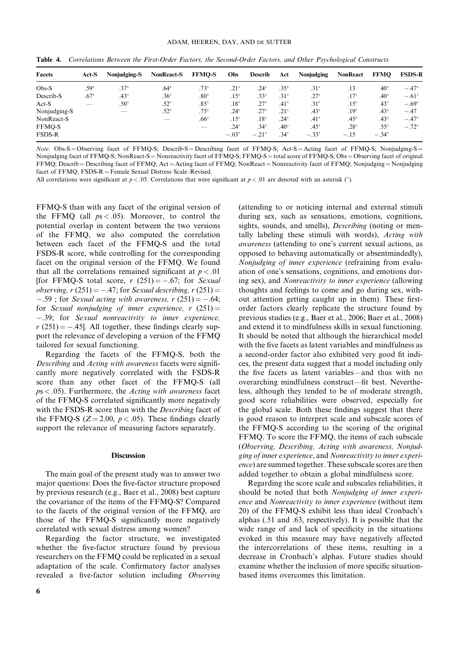| <b>Facets</b> | Act-S  | Nonjudging-S | <b>NonReact-S</b> | <b>FFMO-S</b>            | Obs     | <b>Describ</b> | Act    | Nonjudging | <b>NonReact</b> | <b>FFMO</b> | <b>FSDS-R</b> |
|---------------|--------|--------------|-------------------|--------------------------|---------|----------------|--------|------------|-----------------|-------------|---------------|
| $Obs-S$       | $.59*$ | $.37*$       | $.64*$            | $.73*$                   | $.21*$  | $.24*$         | $.35*$ | $.31*$     | .13             | $40*$       | $-.47*$       |
| Describ-S     | $.67*$ | $.43*$       | $.36*$            | $.80*$                   | $.15*$  | $.33*$         | $.31*$ | $.27*$     | $.17*$          | $.40*$      | $-.61*$       |
| $Act-S$       | _      | $.50*$       | $.52*$            | $.85*$                   | $.18*$  | $.27*$         | $.41*$ | $.31*$     | $.15*$          | $43*$       | $-.69*$       |
| Nonjudging-S  |        | $-$          | $.52*$            | $.75*$                   | $.24*$  | $.27*$         | $.21*$ | $.43*$     | $.19*$          | $.43*$      | $-.47$        |
| NonReact-S    |        |              | _                 | $.66*$                   | $.15*$  | $.18*$         | $.24*$ | $.41*$     | $.45*$          | $.43*$      | $-.47*$       |
| <b>FFMO-S</b> |        |              |                   | $\overline{\phantom{a}}$ | $.24*$  | $.34*$         | $.40*$ | $.45*$     | $.28*$          | $.55*$      | $-.72*$       |
| <b>FSDS-R</b> |        |              |                   |                          | $-.03*$ | $-.21*$        | $.34*$ | $-.33*$    | $-.15$          | $-.34*$     |               |

Table 4. Correlations Between the First-Order Factors, the Second-Order Factors, and Other Psychological Constructs

Note. Obs-S = Observing facet of FFMQ-S; Describ-S = Describing facet of FFMQ-S; Act-S = Acting facet of FFMQ-S; Nonjudging-S = Nonjudging facet of FFMQ-S; NonReact-S = Nonreactivity facet of FFMQ-S; FFMQ-S = total score of FFMQ-S; Obs = Observing facet of original FFMQ; Describ = Describing facet of FFMQ; Act = Acting facet of FFMQ; NonReact = Nonreactivity facet of FFMQ; Nonjudging = Nonjudging facet of  $FFMO$ ;  $FSDS-R = Female$  Sexual Distress Scale–Revised.

All correlations were significant at  $p < .05$ . Correlations that were significant at  $p < .01$  are denoted with an asterisk (\*).

FFMQ-S than with any facet of the original version of the FFMO (all  $ps < .05$ ). Moreover, to control the potential overlap in content between the two versions of the FFMQ, we also computed the correlation between each facet of the FFMQ-S and the total FSDS-R score, while controlling for the corresponding facet on the original version of the FFMQ. We found that all the correlations remained significant at  $p < .01$ [for FFMQ-S total score,  $r(251) = -.67$ ; for Sexual observing,  $r(251) = -.47$ ; for Sexual describing,  $r(251) =$  $-.59$ ; for Sexual acting with awareness, r (251) =  $-.64$ ; for Sexual nonjudging of inner experience, r  $(251) =$  $-.39$ ; for Sexual nonreactivity to inner experience,  $r(251) = -.45$ . All together, these findings clearly support the relevance of developing a version of the FFMQ tailored for sexual functioning.

Regarding the facets of the FFMQ-S, both the Describing and Acting with awareness facets were significantly more negatively correlated with the FSDS-R score than any other facet of the FFMQ-S (all  $ps < .05$ ). Furthermore, the Acting with awareness facet of the FFMQ-S correlated significantly more negatively with the FSDS-R score than with the *Describing* facet of the FFMO-S  $(Z = 2.00, p < .05)$ . These findings clearly support the relevance of measuring factors separately.

#### **Discussion**

The main goal of the present study was to answer two major questions: Does the five-factor structure proposed by previous research (e.g., Baer et al., 2008) best capture the covariance of the items of the FFMQ-S? Compared to the facets of the original version of the FFMQ, are those of the FFMQ-S significantly more negatively correlated with sexual distress among women?

Regarding the factor structure, we investigated whether the five-factor structure found by previous researchers on the FFMQ could be replicated in a sexual adaptation of the scale. Confirmatory factor analyses revealed a five-factor solution including Observing (attending to or noticing internal and external stimuli during sex, such as sensations, emotions, cognitions, sights, sounds, and smells), *Describing* (noting or mentally labeling these stimuli with words), Acting with awareness (attending to one's current sexual actions, as opposed to behaving automatically or absentmindedly), Nonjudging of inner experience (refraining from evaluation of one's sensations, cognitions, and emotions during sex), and Nonreactivity to inner experience (allowing thoughts and feelings to come and go during sex, without attention getting caught up in them). These firstorder factors clearly replicate the structure found by previous studies (e.g., Baer et al., 2006; Baer et al., 2008) and extend it to mindfulness skills in sexual functioning. It should be noted that although the hierarchical model with the five facets as latent variables and mindfulness as a second-order factor also exhibited very good fit indices, the present data suggest that a model including only the five facets as latent variables—and thus with no overarching mindfulness construct—fit best. Nevertheless, although they tended to be of moderate strength, good score reliabilities were observed, especially for the global scale. Both these findings suggest that there is good reason to interpret scale and subscale scores of the FFMQ-S according to the scoring of the original FFMQ. To score the FFMQ, the items of each subscale (Observing, Describing, Acting with awareness, Nonjudging of inner experience, and Nonreactivity to inner experience) are summed together. These subscale scores are then added together to obtain a global mindfulness score.

Regarding the score scale and subscales reliabilities, it should be noted that both Nonjudging of inner experience and Nonreactivity to inner experience (without item 20) of the FFMQ-S exhibit less than ideal Cronbach's alphas (.51 and .63, respectively). It is possible that the wide range of and lack of specificity in the situations evoked in this measure may have negatively affected the intercorrelations of these items, resulting in a decrease in Cronbach's alphas. Future studies should examine whether the inclusion of more specific situationbased items overcomes this limitation.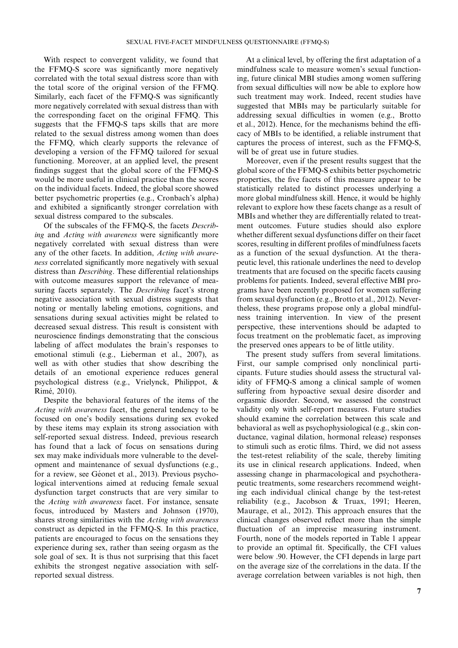With respect to convergent validity, we found that the FFMQ-S score was significantly more negatively correlated with the total sexual distress score than with the total score of the original version of the FFMQ. Similarly, each facet of the FFMQ-S was significantly more negatively correlated with sexual distress than with the corresponding facet on the original FFMQ. This suggests that the FFMQ-S taps skills that are more related to the sexual distress among women than does the FFMQ, which clearly supports the relevance of developing a version of the FFMQ tailored for sexual functioning. Moreover, at an applied level, the present findings suggest that the global score of the FFMQ-S would be more useful in clinical practice than the scores on the individual facets. Indeed, the global score showed better psychometric properties (e.g., Cronbach's alpha) and exhibited a significantly stronger correlation with sexual distress compared to the subscales.

Of the subscales of the FFMQ-S, the facets Describing and Acting with awareness were significantly more negatively correlated with sexual distress than were any of the other facets. In addition, Acting with awareness correlated significantly more negatively with sexual distress than Describing. These differential relationships with outcome measures support the relevance of measuring facets separately. The Describing facet's strong negative association with sexual distress suggests that noting or mentally labeling emotions, cognitions, and sensations during sexual activities might be related to decreased sexual distress. This result is consistent with neuroscience findings demonstrating that the conscious labeling of affect modulates the brain's responses to emotional stimuli (e.g., Lieberman et al., 2007), as well as with other studies that show describing the details of an emotional experience reduces general psychological distress (e.g., Vrielynck, Philippot, & Rime´, 2010).

Despite the behavioral features of the items of the Acting with awareness facet, the general tendency to be focused on one's bodily sensations during sex evoked by these items may explain its strong association with self-reported sexual distress. Indeed, previous research has found that a lack of focus on sensations during sex may make individuals more vulnerable to the development and maintenance of sexual dysfunctions (e.g., for a review, see Géonet et al., 2013). Previous psychological interventions aimed at reducing female sexual dysfunction target constructs that are very similar to the Acting with awareness facet. For instance, sensate focus, introduced by Masters and Johnson (1970), shares strong similarities with the Acting with awareness construct as depicted in the FFMQ-S. In this practice, patients are encouraged to focus on the sensations they experience during sex, rather than seeing orgasm as the sole goal of sex. It is thus not surprising that this facet exhibits the strongest negative association with selfreported sexual distress.

At a clinical level, by offering the first adaptation of a mindfulness scale to measure women's sexual functioning, future clinical MBI studies among women suffering from sexual difficulties will now be able to explore how such treatment may work. Indeed, recent studies have suggested that MBIs may be particularly suitable for addressing sexual difficulties in women (e.g., Brotto et al., 2012). Hence, for the mechanisms behind the efficacy of MBIs to be identified, a reliable instrument that captures the process of interest, such as the FFMQ-S, will be of great use in future studies.

Moreover, even if the present results suggest that the global score of the FFMQ-S exhibits better psychometric properties, the five facets of this measure appear to be statistically related to distinct processes underlying a more global mindfulness skill. Hence, it would be highly relevant to explore how these facets change as a result of MBIs and whether they are differentially related to treatment outcomes. Future studies should also explore whether different sexual dysfunctions differ on their facet scores, resulting in different profiles of mindfulness facets as a function of the sexual dysfunction. At the therapeutic level, this rationale underlines the need to develop treatments that are focused on the specific facets causing problems for patients. Indeed, several effective MBI programs have been recently proposed for women suffering from sexual dysfunction (e.g., Brotto et al., 2012). Nevertheless, these programs propose only a global mindfulness training intervention. In view of the present perspective, these interventions should be adapted to focus treatment on the problematic facet, as improving the preserved ones appears to be of little utility.

The present study suffers from several limitations. First, our sample comprised only nonclinical participants. Future studies should assess the structural validity of FFMQ-S among a clinical sample of women suffering from hypoactive sexual desire disorder and orgasmic disorder. Second, we assessed the construct validity only with self-report measures. Future studies should examine the correlation between this scale and behavioral as well as psychophysiological (e.g., skin conductance, vaginal dilation, hormonal release) responses to stimuli such as erotic films. Third, we did not assess the test-retest reliability of the scale, thereby limiting its use in clinical research applications. Indeed, when assessing change in pharmacological and psychotherapeutic treatments, some researchers recommend weighting each individual clinical change by the test-retest reliability (e.g., Jacobson & Truax, 1991; Heeren, Maurage, et al., 2012). This approach ensures that the clinical changes observed reflect more than the simple fluctuation of an imprecise measuring instrument. Fourth, none of the models reported in Table 1 appear to provide an optimal fit. Specifically, the CFI values were below .90. However, the CFI depends in large part on the average size of the correlations in the data. If the average correlation between variables is not high, then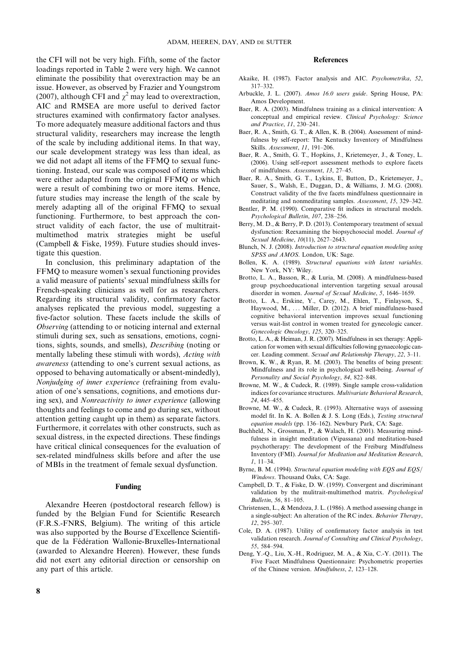the CFI will not be very high. Fifth, some of the factor loadings reported in Table 2 were very high. We cannot eliminate the possibility that overextraction may be an issue. However, as observed by Frazier and Youngstrom (2007), although CFI and  $\chi^2$  may lead to overextraction, AIC and RMSEA are more useful to derived factor structures examined with confirmatory factor analyses. To more adequately measure additional factors and thus structural validity, researchers may increase the length of the scale by including additional items. In that way, our scale development strategy was less than ideal, as we did not adapt all items of the FFMQ to sexual functioning. Instead, our scale was composed of items which were either adapted from the original FFMQ or which were a result of combining two or more items. Hence, future studies may increase the length of the scale by merely adapting all of the original FFMQ to sexual functioning. Furthermore, to best approach the construct validity of each factor, the use of multitraitmultimethod matrix strategies might be useful (Campbell & Fiske, 1959). Future studies should investigate this question.

In conclusion, this preliminary adaptation of the FFMQ to measure women's sexual functioning provides a valid measure of patients' sexual mindfulness skills for French-speaking clinicians as well for as researchers. Regarding its structural validity, confirmatory factor analyses replicated the previous model, suggesting a five-factor solution. These facets include the skills of Observing (attending to or noticing internal and external stimuli during sex, such as sensations, emotions, cognitions, sights, sounds, and smells), Describing (noting or mentally labeling these stimuli with words), Acting with awareness (attending to one's current sexual actions, as opposed to behaving automatically or absent-mindedly), Nonjudging of inner experience (refraining from evaluation of one's sensations, cognitions, and emotions during sex), and Nonreactivity to inner experience (allowing thoughts and feelings to come and go during sex, without attention getting caught up in them) as separate factors. Furthermore, it correlates with other constructs, such as sexual distress, in the expected directions. These findings have critical clinical consequences for the evaluation of sex-related mindfulness skills before and after the use of MBIs in the treatment of female sexual dysfunction.

### Funding

Alexandre Heeren (postdoctoral research fellow) is funded by the Belgian Fund for Scientific Research (F.R.S.-FNRS, Belgium). The writing of this article was also supported by the Bourse d'Excellence Scientifique de la Fédération Wallonie-Bruxelles-International (awarded to Alexandre Heeren). However, these funds did not exert any editorial direction or censorship on any part of this article.

#### References

- Akaike, H. (1987). Factor analysis and AIC. Psychometrika, 52, 317–332.
- Arbuckle, J. L. (2007). Amos 16.0 users guide. Spring House, PA: Amos Development.
- Baer, R. A. (2003). Mindfulness training as a clinical intervention: A conceptual and empirical review. Clinical Psychology: Science and Practice, 11, 230–241.
- Baer, R. A., Smith, G. T., & Allen, K. B. (2004). Assessment of mindfulness by self-report: The Kentucky Inventory of Mindfulness Skills. Assessment, 11, 191–206.
- Baer, R. A., Smith, G. T., Hopkins, J., Krietemeyer, J., & Toney, L. (2006). Using self-report assessment methods to explore facets of mindfulness. Assessment, 13, 27–45.
- Baer, R. A., Smith, G. T., Lykins, E, Button, D., Krietemeyer, J., Sauer, S., Walsh, E., Duggan, D., & Williams, J. M.G. (2008). Construct validity of the five facets mindfulness questionnaire in meditating and nonmeditating samples. Assessment, 15, 329–342.
- Bentler, P. M. (1990). Comparative fit indices in structural models. Psychological Bulletin, 107, 238–256.
- Berry, M. D., & Berry, P. D. (2013). Contemporary treatment of sexual dysfunction: Reexamining the biopsychosocial model. Journal of Sexual Medicine, 10(11), 2627–2643.
- Blunch, N. J. (2008). Introduction to structural equation modeling using SPSS and AMOS. London, UK: Sage.
- Bollen, K. A. (1989). Structural equations with latent variables. New York, NY: Wiley.
- Brotto, L. A., Basson, R., & Luria, M. (2008). A mindfulness-based group psychoeducational intervention targeting sexual arousal disorder in women. Journal of Sexual Medicine, 5, 1646–1659.
- Brotto, L. A., Erskine, Y., Carey, M., Ehlen, T., Finlayson, S., Haywood, M., ... Miller, D. (2012). A brief mindfulness-based cognitive behavioral intervention improves sexual functioning versus wait-list control in women treated for gynecologic cancer. Gynecologic Oncology, 125, 320–325.
- Brotto, L. A., & Heiman, J. R. (2007). Mindfulness in sex therapy: Application for women with sexual difficulties following gynaecologic cancer. Leading comment. Sexual and Relationship Therapy, 22, 3–11.
- Brown, K. W., & Ryan, R. M. (2003). The benefits of being present: Mindfulness and its role in psychological well-being. Journal of Personality and Social Psychology, 84, 822–848.
- Browne, M. W., & Cudeck, R. (1989). Single sample cross-validation indices for covariance structures. Multivariate Behavioral Research, 24, 445–455.
- Browne, M. W., & Cudeck, R. (1993). Alternative ways of assessing model fit. In K. A. Bollen & J. S. Long (Eds.), Testing structural equation models (pp. 136–162). Newbury Park, CA: Sage.
- Buchheld, N., Grossman, P., & Walach, H. (2001). Measuring mindfulness in insight meditation (Vipassana) and meditation-based psychotherapy: The development of the Freiburg Mindfulness Inventory (FMI). Journal for Meditation and Meditation Research, 1, 11–34.
- Byrne, B. M. (1994). Structural equation modeling with EOS and EOS/ Windows. Thousand Oaks, CA: Sage.
- Campbell, D. T., & Fiske, D. W. (1959). Convergent and discriminant validation by the mulitrait-multimethod matrix. Psychological Bulletin, 56, 81–105.
- Christensen, L., & Mendoza, J. L. (1986). A method assessing change in a single-subject: An alteration of the RC index. Behavior Therapy, 12, 295–307.
- Cole, D. A. (1987). Utility of confirmatory factor analysis in test validation research. Journal of Consulting and Clinical Psychology, 55, 584–594.
- Deng, Y.-Q., Liu, X.-H., Rodriguez, M. A., & Xia, C.-Y. (2011). The Five Facet Mindfulness Questionnaire: Psychometric properties of the Chinese version. Mindfulness, 2, 123–128.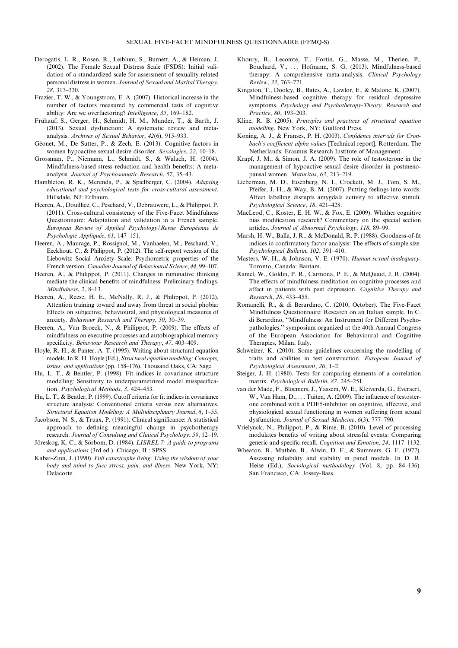- Derogatis, L. R., Rosen, R., Leiblum, S., Burnett, A., & Heiman, J. (2002). The Female Sexual Distress Scale (FSDS): Initial validation of a standardized scale for assessment of sexuality related personal distress in women. Journal of Sexual and Marital Therapy, 28, 317–330.
- Frazier, T. W., & Youngstrom, E. A. (2007). Historical increase in the number of factors measured by commercial tests of cognitive ability: Are we overfactoring? Intelligence, 35, 169–182.
- Frühauf, S., Gerger, H., Schmidt, H. M., Munder, T., & Barth, J. (2013). Sexual dysfunction: A systematic review and metaanalysis. Archives of Sexual Behavior, 42(6), 915–933.
- Géonet, M., De Sutter, P., & Zech, E. (2013). Cognitive factors in women hypoactive sexual desire disorder. Sexologies, 22, 10–18.
- Grossman, P., Niemann, L., Schmidt, S., & Walach, H. (2004). Mindfulness-based stress reduction and health benefits: A metaanalysis. Journal of Psychosomatic Research, 57, 35–43.
- Hambleton, R. K., Merenda, P., & Spielberger, C. (2004). Adapting educational and psychological tests for cross-cultural assessment. Hillsdale, NJ: Erlbaum.
- Heeren, A., Douilliez, C., Peschard, V., Debrauwere, L., & Philippot, P. (2011). Cross-cultural consistency of the Five-Facet Mindfulness Questionnaire: Adaptation and validation in a French sample. European Review of Applied Psychology/Revue Européenne de Psychologie Appliquée, 61, 147-151.
- Heeren, A., Maurage, P., Rossignol, M., Vanhaelen, M., Peschard, V., Eeckhout, C., & Philippot, P. (2012). The self-report version of the Liebowitz Social Anxiety Scale: Psychometric properties of the French version. Canadian Journal of Behavioural Science, 44, 99–107.
- Heeren, A., & Philippot, P. (2011). Changes in ruminative thinking mediate the clinical benefits of mindfulness: Preliminary findings. Mindfulness, 2, 8–13.
- Heeren, A., Reese, H. E., McNally, R. J., & Philippot, P. (2012). Attention training toward and away from threat in social phobia: Effects on subjective, behavioural, and physiological measures of anxiety. Behaviour Research and Therapy, 50, 30–39.
- Heeren, A., Van Broeck, N., & Philippot, P. (2009). The effects of mindfulness on executive processes and autobiographical memory specificity. Behaviour Research and Therapy, 47, 403-409.
- Hoyle, R. H., & Panter, A. T. (1995). Writing about structural equation models. In R. H. Hoyle (Ed.), Structural equation modeling: Concepts, issues, and applications (pp. 158–176). Thousand Oaks, CA: Sage.
- Hu, L. T., & Bentler, P. (1998). Fit indices in covariance structure modelling: Sensitivity to underparametrized model misspecification. Psychological Methods, 3, 424–453.
- Hu, L. T., & Bentler, P. (1999). Cutoff criteria for fit indices in covariance structure analysis: Conventional criteria versus new alternatives. Structural Equation Modeling: A Multidisciplinary Journal, 6, 1–55.
- Jacobson, N. S., & Truax, P. (1991). Clinical significance: A statistical approach to defining meaningful change in psychotherapy research. Journal of Consulting and Clinical Psychology, 59, 12–19.
- Jöreskog, K. C., & Sörbom, D. (1984). LISREL 7: A guide to programs and applications (3rd ed.). Chicago, IL: SPSS.
- Kabat-Zinn, J. (1990). Full catastrophe living: Using the wisdom of your body and mind to face stress, pain, and illness. New York, NY: Delacorte.
- Khoury, B., Lecomte, T., Fortin, G., Masse, M., Therien, P., Bouchard, V., ... Hofmann, S. G. (2013). Mindfulness-based therapy: A comprehensive meta-analysis. Clinical Psychology Review, 33, 763–771.
- Kingston, T., Dooley, B., Bates, A., Lawlor, E., & Malone, K. (2007). Mindfulness-based cognitive therapy for residual depressive symptoms. Psychology and Psychotherapy-Theory, Research and Practice, 80, 193–203.
- Kline, R. B. (2005). Principles and practices of structural equation modelling. New York, NY: Guilford Press.
- Koning, A. J., & Franses, P. H. (2003). Confidence intervals for Cronbach's coefficient alpha values [Technical report]. Rotterdam, The Netherlands: Erasmus Research Institute of Management.
- Krapf, J. M., & Simon, J. A. (2009). The role of testosterone in the management of hypoactive sexual desire disorder in postmenopausal women. Maturitas, 63, 213–219.
- Lieberman, M. D., Eisenberg, N. I., Crockett, M. J., Tom, S. M., Pfeifer, J. H., & Way, B. M. (2007). Putting feelings into words: Affect labelling disrupts amygdala activity to affective stimuli. Psychological Science, 18, 421–428.
- MacLeod, C., Koster, E. H. W., & Fox, E. (2009). Whither cognitive bias modification research? Commentary on the special section articles. Journal of Abnormal Psychology, 118, 89–99.
- Marsh, H. W., Balla, J. R., & McDonald, R. P. (1988). Goodness-of-fit indices in confirmatory factor analysis: The effects of sample size. Psychological Bulletin, 102, 391–410.
- Masters, W. H., & Johnson, V. E. (1970). Human sexual inadequacy. Toronto, Canada: Bantam.
- Ramel, W., Goldin, P. R., Carmona, P. E., & McQuaid, J. R. (2004). The effects of mindfulness meditation on cognitive processes and affect in patients with past depression. Cognitive Therapy and Research, 28, 433–455.
- Romanelli, R., & di Berardino, C. (2010, October). The Five-Facet Mindfulness Questionnaire: Research on an Italian sample. In C. di Berardino, ''Mindfulness: An Instrument for Different Psychopathologies,'' symposium organized at the 40th Annual Congress of the European Association for Behavioural and Cognitive Therapies, Milan, Italy.
- Schweizer, K. (2010). Some guidelines concerning the modelling of traits and abilities in test construction. European Journal of Psychological Assessment, 26, 1–2.
- Steiger, J. H. (1980). Tests for comparing elements of a correlation matrix. Psychological Bulletin, 87, 245–251.
- van der Made, F., Bloemers, J., Yassem, W. E., Kleiverda, G., Everaert, W., Van Ham, D., ... Tuiten, A. (2009). The influence of testosterone combined with a PDE5-inhibitor on cognitive, affective, and physiological sexual functioning in women suffering from sexual dysfunction. Journal of Sexual Medicine, 6(3), 777–790.
- Vrielynck, N., Philippot, P., & Rimé, B. (2010). Level of processing modulates benefits of writing about stressful events: Comparing generic and specific recall. Cognition and Emotion, 24, 1117–1132.
- Wheaton, B., Muthén, B., Alwin, D. F., & Summers, G. F. (1977). Assessing reliability and stability in panel models. In D. R. Heise (Ed.), Sociological methodology (Vol. 8, pp. 84–136). San Francisco, CA: Jossey-Bass.